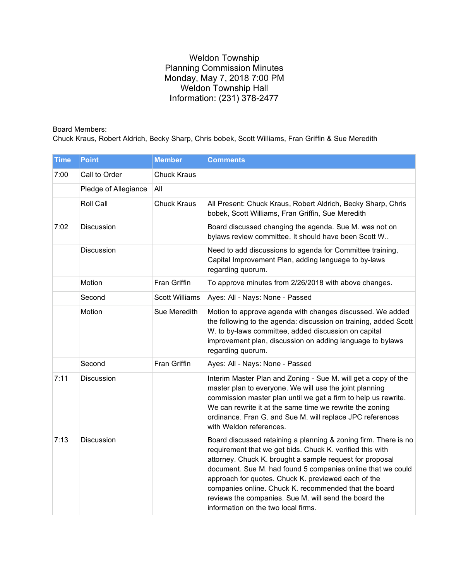## Weldon Township Planning Commission Minutes Monday, May 7, 2018 7:00 PM Weldon Township Hall Information: (231) 378-2477

Board Members:

Chuck Kraus, Robert Aldrich, Becky Sharp, Chris bobek, Scott Williams, Fran Griffin & Sue Meredith

| <b>Time</b> | <b>Point</b>         | <b>Member</b>         | <b>Comments</b>                                                                                                                                                                                                                                                                                                                                                                                                                                                         |
|-------------|----------------------|-----------------------|-------------------------------------------------------------------------------------------------------------------------------------------------------------------------------------------------------------------------------------------------------------------------------------------------------------------------------------------------------------------------------------------------------------------------------------------------------------------------|
| 7:00        | Call to Order        | <b>Chuck Kraus</b>    |                                                                                                                                                                                                                                                                                                                                                                                                                                                                         |
|             | Pledge of Allegiance | All                   |                                                                                                                                                                                                                                                                                                                                                                                                                                                                         |
|             | <b>Roll Call</b>     | <b>Chuck Kraus</b>    | All Present: Chuck Kraus, Robert Aldrich, Becky Sharp, Chris<br>bobek, Scott Williams, Fran Griffin, Sue Meredith                                                                                                                                                                                                                                                                                                                                                       |
| 7:02        | Discussion           |                       | Board discussed changing the agenda. Sue M. was not on<br>bylaws review committee. It should have been Scott W                                                                                                                                                                                                                                                                                                                                                          |
|             | Discussion           |                       | Need to add discussions to agenda for Committee training,<br>Capital Improvement Plan, adding language to by-laws<br>regarding quorum.                                                                                                                                                                                                                                                                                                                                  |
|             | Motion               | Fran Griffin          | To approve minutes from 2/26/2018 with above changes.                                                                                                                                                                                                                                                                                                                                                                                                                   |
|             | Second               | <b>Scott Williams</b> | Ayes: All - Nays: None - Passed                                                                                                                                                                                                                                                                                                                                                                                                                                         |
|             | Motion               | Sue Meredith          | Motion to approve agenda with changes discussed. We added<br>the following to the agenda: discussion on training, added Scott<br>W. to by-laws committee, added discussion on capital<br>improvement plan, discussion on adding language to bylaws<br>regarding quorum.                                                                                                                                                                                                 |
|             | Second               | Fran Griffin          | Ayes: All - Nays: None - Passed                                                                                                                                                                                                                                                                                                                                                                                                                                         |
| 7:11        | Discussion           |                       | Interim Master Plan and Zoning - Sue M. will get a copy of the<br>master plan to everyone. We will use the joint planning<br>commission master plan until we get a firm to help us rewrite.<br>We can rewrite it at the same time we rewrite the zoning<br>ordinance. Fran G. and Sue M. will replace JPC references<br>with Weldon references.                                                                                                                         |
| 7:13        | Discussion           |                       | Board discussed retaining a planning & zoning firm. There is no<br>requirement that we get bids. Chuck K. verified this with<br>attorney. Chuck K. brought a sample request for proposal<br>document. Sue M. had found 5 companies online that we could<br>approach for quotes. Chuck K. previewed each of the<br>companies online. Chuck K. recommended that the board<br>reviews the companies. Sue M. will send the board the<br>information on the two local firms. |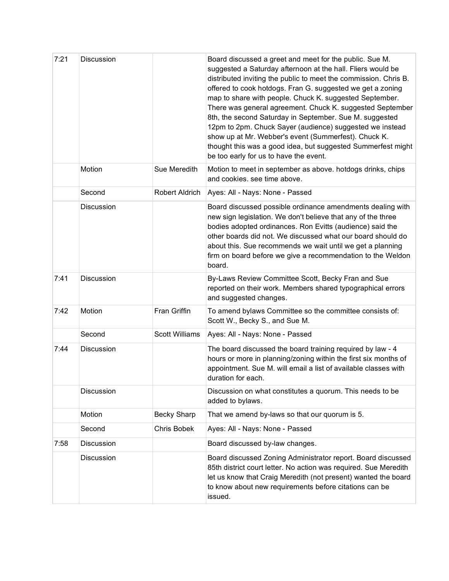| 7:21 | Discussion        |                       | Board discussed a greet and meet for the public. Sue M.<br>suggested a Saturday afternoon at the hall. Fliers would be<br>distributed inviting the public to meet the commission. Chris B.<br>offered to cook hotdogs. Fran G. suggested we get a zoning<br>map to share with people. Chuck K. suggested September.<br>There was general agreement. Chuck K. suggested September<br>8th, the second Saturday in September. Sue M. suggested<br>12pm to 2pm. Chuck Sayer (audience) suggested we instead<br>show up at Mr. Webber's event (Summerfest). Chuck K.<br>thought this was a good idea, but suggested Summerfest might<br>be too early for us to have the event. |
|------|-------------------|-----------------------|---------------------------------------------------------------------------------------------------------------------------------------------------------------------------------------------------------------------------------------------------------------------------------------------------------------------------------------------------------------------------------------------------------------------------------------------------------------------------------------------------------------------------------------------------------------------------------------------------------------------------------------------------------------------------|
|      | Motion            | Sue Meredith          | Motion to meet in september as above. hotdogs drinks, chips<br>and cookies. see time above.                                                                                                                                                                                                                                                                                                                                                                                                                                                                                                                                                                               |
|      | Second            | Robert Aldrich        | Ayes: All - Nays: None - Passed                                                                                                                                                                                                                                                                                                                                                                                                                                                                                                                                                                                                                                           |
|      | Discussion        |                       | Board discussed possible ordinance amendments dealing with<br>new sign legislation. We don't believe that any of the three<br>bodies adopted ordinances. Ron Evitts (audience) said the<br>other boards did not. We discussed what our board should do<br>about this. Sue recommends we wait until we get a planning<br>firm on board before we give a recommendation to the Weldon<br>board.                                                                                                                                                                                                                                                                             |
| 7:41 | Discussion        |                       | By-Laws Review Committee Scott, Becky Fran and Sue<br>reported on their work. Members shared typographical errors<br>and suggested changes.                                                                                                                                                                                                                                                                                                                                                                                                                                                                                                                               |
| 7:42 | Motion            | Fran Griffin          | To amend bylaws Committee so the committee consists of:<br>Scott W., Becky S., and Sue M.                                                                                                                                                                                                                                                                                                                                                                                                                                                                                                                                                                                 |
|      | Second            | <b>Scott Williams</b> | Ayes: All - Nays: None - Passed                                                                                                                                                                                                                                                                                                                                                                                                                                                                                                                                                                                                                                           |
| 7:44 | <b>Discussion</b> |                       | The board discussed the board training required by law - 4<br>hours or more in planning/zoning within the first six months of<br>appointment. Sue M. will email a list of available classes with<br>duration for each.                                                                                                                                                                                                                                                                                                                                                                                                                                                    |
|      | <b>Discussion</b> |                       | Discussion on what constitutes a quorum. This needs to be<br>added to bylaws.                                                                                                                                                                                                                                                                                                                                                                                                                                                                                                                                                                                             |
|      | Motion            | <b>Becky Sharp</b>    | That we amend by-laws so that our quorum is 5.                                                                                                                                                                                                                                                                                                                                                                                                                                                                                                                                                                                                                            |
|      | Second            | Chris Bobek           | Ayes: All - Nays: None - Passed                                                                                                                                                                                                                                                                                                                                                                                                                                                                                                                                                                                                                                           |
| 7:58 | <b>Discussion</b> |                       | Board discussed by-law changes.                                                                                                                                                                                                                                                                                                                                                                                                                                                                                                                                                                                                                                           |
|      | Discussion        |                       | Board discussed Zoning Administrator report. Board discussed<br>85th district court letter. No action was required. Sue Meredith<br>let us know that Craig Meredith (not present) wanted the board<br>to know about new requirements before citations can be<br>issued.                                                                                                                                                                                                                                                                                                                                                                                                   |